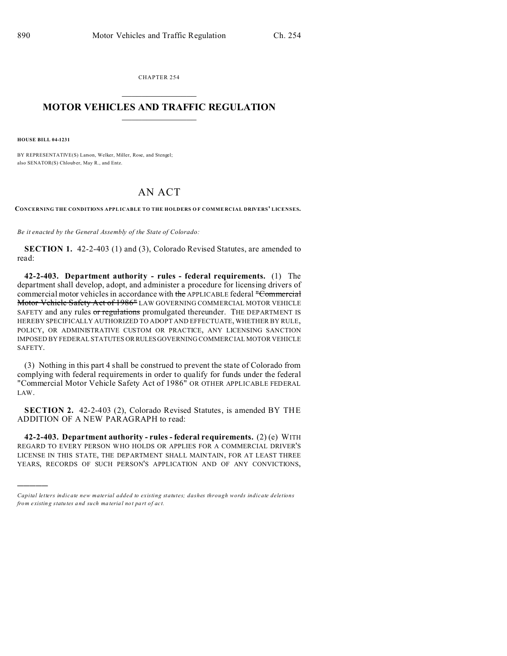CHAPTER 254  $\overline{\phantom{a}}$  , where  $\overline{\phantom{a}}$ 

## **MOTOR VEHICLES AND TRAFFIC REGULATION**  $\frac{1}{2}$  ,  $\frac{1}{2}$  ,  $\frac{1}{2}$  ,  $\frac{1}{2}$  ,  $\frac{1}{2}$  ,  $\frac{1}{2}$  ,  $\frac{1}{2}$

**HOUSE BILL 04-1231**

)))))

BY REPRESENTATIVE(S) Larson, Welker, Miller, Rose, and Stengel; also SENATOR(S) Chlouber, May R., and Entz.

## AN ACT

**CONCERNING THE CONDITIONS APPL ICABLE TO THE HOLDERS O F COMME RCIAL DRIVERS' LICENSES.**

*Be it enacted by the General Assembly of the State of Colorado:*

**SECTION 1.** 42-2-403 (1) and (3), Colorado Revised Statutes, are amended to read:

**42-2-403. Department authority - rules - federal requirements.** (1) The department shall develop, adopt, and administer a procedure for licensing drivers of commercial motor vehicles in accordance with the APPLICABLE federal "Commercial Motor Vehicle Safety Act of 1986<sup>"</sup> LAW GOVERNING COMMERCIAL MOTOR VEHICLE SAFETY and any rules or regulations promulgated thereunder. THE DEPARTMENT IS HEREBY SPECIFICALLY AUTHORIZED TO ADOPT AND EFFECTUATE, WHETHER BY RULE, POLICY, OR ADMINISTRATIVE CUSTOM OR PRACTICE, ANY LICENSING SANCTION IMPOSED BY FEDERAL STATUTES ORRULESGOVERNING COMMERCIAL MOTOR VEHICLE SAFETY.

(3) Nothing in this part 4 shall be construed to prevent the state of Colorado from complying with federal requirements in order to qualify for funds under the federal "Commercial Motor Vehicle Safety Act of 1986" OR OTHER APPLICABLE FEDERAL LAW.

**SECTION 2.** 42-2-403 (2), Colorado Revised Statutes, is amended BY THE ADDITION OF A NEW PARAGRAPH to read:

**42-2-403. Department authority - rules - federal requirements.** (2) (e) WITH REGARD TO EVERY PERSON WHO HOLDS OR APPLIES FOR A COMMERCIAL DRIVER'S LICENSE IN THIS STATE, THE DEPARTMENT SHALL MAINTAIN, FOR AT LEAST THREE YEARS, RECORDS OF SUCH PERSON'S APPLICATION AND OF ANY CONVICTIONS,

*Capital letters indicate new material added to existing statutes; dashes through words indicate deletions from e xistin g statu tes a nd such ma teria l no t pa rt of ac t.*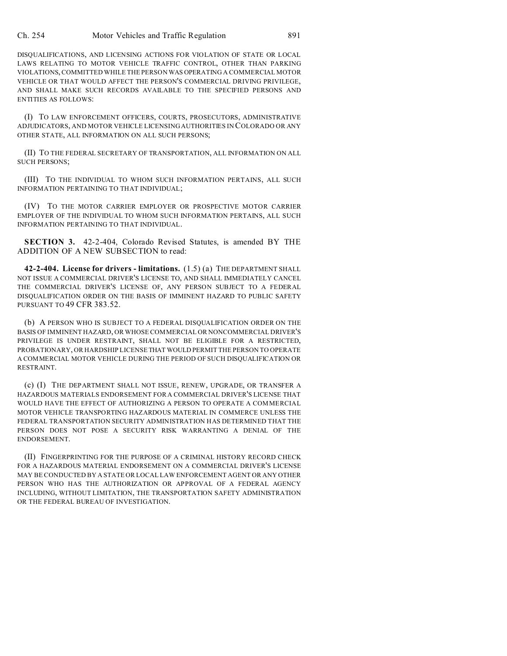DISQUALIFICATIONS, AND LICENSING ACTIONS FOR VIOLATION OF STATE OR LOCAL LAWS RELATING TO MOTOR VEHICLE TRAFFIC CONTROL, OTHER THAN PARKING VIOLATIONS, COMMITTED WHILE THE PERSONWAS OPERATING A COMMERCIAL MOTOR VEHICLE OR THAT WOULD AFFECT THE PERSON'S COMMERCIAL DRIVING PRIVILEGE, AND SHALL MAKE SUCH RECORDS AVAILABLE TO THE SPECIFIED PERSONS AND ENTITIES AS FOLLOWS:

(I) TO LAW ENFORCEMENT OFFICERS, COURTS, PROSECUTORS, ADMINISTRATIVE ADJUDICATORS, AND MOTOR VEHICLE LICENSING AUTHORITIES IN COLORADO OR ANY OTHER STATE, ALL INFORMATION ON ALL SUCH PERSONS;

(II) TO THE FEDERAL SECRETARY OF TRANSPORTATION, ALL INFORMATION ON ALL SUCH PERSONS;

(III) TO THE INDIVIDUAL TO WHOM SUCH INFORMATION PERTAINS, ALL SUCH INFORMATION PERTAINING TO THAT INDIVIDUAL;

(IV) TO THE MOTOR CARRIER EMPLOYER OR PROSPECTIVE MOTOR CARRIER EMPLOYER OF THE INDIVIDUAL TO WHOM SUCH INFORMATION PERTAINS, ALL SUCH INFORMATION PERTAINING TO THAT INDIVIDUAL.

**SECTION 3.** 42-2-404, Colorado Revised Statutes, is amended BY THE ADDITION OF A NEW SUBSECTION to read:

**42-2-404. License for drivers - limitations.** (1.5) (a) THE DEPARTMENT SHALL NOT ISSUE A COMMERCIAL DRIVER'S LICENSE TO, AND SHALL IMMEDIATELY CANCEL THE COMMERCIAL DRIVER'S LICENSE OF, ANY PERSON SUBJECT TO A FEDERAL DISQUALIFICATION ORDER ON THE BASIS OF IMMINENT HAZARD TO PUBLIC SAFETY PURSUANT TO 49 CFR 383.52.

(b) A PERSON WHO IS SUBJECT TO A FEDERAL DISQUALIFICATION ORDER ON THE BASIS OF IMMINENT HAZARD, OR WHOSE COMMERCIAL OR NONCOMMERCIAL DRIVER'S PRIVILEGE IS UNDER RESTRAINT, SHALL NOT BE ELIGIBLE FOR A RESTRICTED, PROBATIONARY, OR HARDSHIP LICENSE THAT WOULD PERMIT THE PERSON TO OPERATE A COMMERCIAL MOTOR VEHICLE DURING THE PERIOD OF SUCH DISQUALIFICATION OR RESTRAINT.

(c) (I) THE DEPARTMENT SHALL NOT ISSUE, RENEW, UPGRADE, OR TRANSFER A HAZARDOUS MATERIALS ENDORSEMENT FOR A COMMERCIAL DRIVER'S LICENSE THAT WOULD HAVE THE EFFECT OF AUTHORIZING A PERSON TO OPERATE A COMMERCIAL MOTOR VEHICLE TRANSPORTING HAZARDOUS MATERIAL IN COMMERCE UNLESS THE FEDERAL TRANSPORTATION SECURITY ADMINISTRATION HAS DETERMINED THAT THE PERSON DOES NOT POSE A SECURITY RISK WARRANTING A DENIAL OF THE ENDORSEMENT.

(II) FINGERPRINTING FOR THE PURPOSE OF A CRIMINAL HISTORY RECORD CHECK FOR A HAZARDOUS MATERIAL ENDORSEMENT ON A COMMERCIAL DRIVER'S LICENSE MAY BE CONDUCTED BY A STATE OR LOCAL LAW ENFORCEMENT AGENT OR ANY OTHER PERSON WHO HAS THE AUTHORIZATION OR APPROVAL OF A FEDERAL AGENCY INCLUDING, WITHOUT LIMITATION, THE TRANSPORTATION SAFETY ADMINISTRATION OR THE FEDERAL BUREAU OF INVESTIGATION.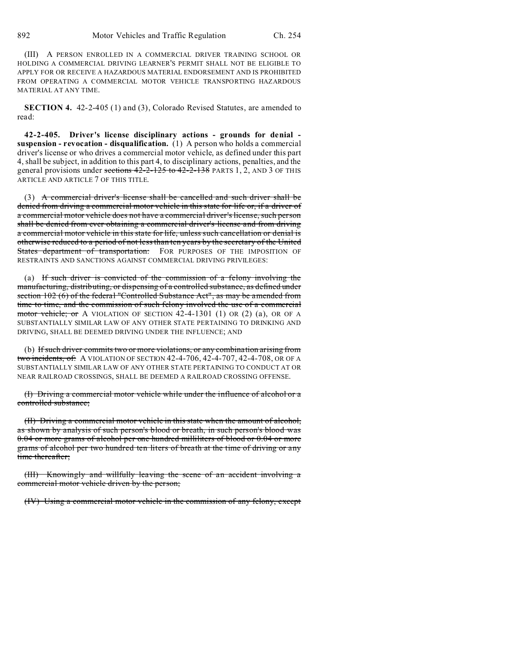(III) A PERSON ENROLLED IN A COMMERCIAL DRIVER TRAINING SCHOOL OR HOLDING A COMMERCIAL DRIVING LEARNER'S PERMIT SHALL NOT BE ELIGIBLE TO APPLY FOR OR RECEIVE A HAZARDOUS MATERIAL ENDORSEMENT AND IS PROHIBITED FROM OPERATING A COMMERCIAL MOTOR VEHICLE TRANSPORTING HAZARDOUS MATERIAL AT ANY TIME.

**SECTION 4.** 42-2-405 (1) and (3), Colorado Revised Statutes, are amended to read:

**42-2-405. Driver's license disciplinary actions - grounds for denial suspension - revocation - disqualification.** (1) A person who holds a commercial driver's license or who drives a commercial motor vehicle, as defined under this part 4, shall be subject, in addition to this part 4, to disciplinary actions, penalties, and the general provisions under sections 42-2-125 to 42-2-138 PARTS 1, 2, AND 3 OF THIS ARTICLE AND ARTICLE 7 OF THIS TITLE.

(3) A commercial driver's license shall be cancelled and such driver shall be denied from driving a commercial motor vehicle in this state for life or, if a driver of a commercial motor vehicle does not have a commercial driver's license, such person shall be denied from ever obtaining a commercial driver's license and from driving a commercial motor vehicle in this state for life, unless such cancellation or denial is otherwise reduced to a period of not less than ten years by the secretary of the United States department of transportation: FOR PURPOSES OF THE IMPOSITION OF RESTRAINTS AND SANCTIONS AGAINST COMMERCIAL DRIVING PRIVILEGES:

(a) If such driver is convicted of the commission of a felony involving the manufacturing, distributing, or dispensing of a controlled substance, as defined under section 102 (6) of the federal "Controlled Substance Act", as may be amended from time to time, and the commission of such felony involved the use of a commercial motor vehicle; or A VIOLATION OF SECTION 42-4-1301 (1) OR (2) (a), OR OF A SUBSTANTIALLY SIMILAR LAW OF ANY OTHER STATE PERTAINING TO DRINKING AND DRIVING, SHALL BE DEEMED DRIVING UNDER THE INFLUENCE; AND

(b) If such driver commits two or more violations, or any combination arising from two incidents, of: A VIOLATION OF SECTION 42-4-706, 42-4-707, 42-4-708, OR OF A SUBSTANTIALLY SIMILAR LAW OF ANY OTHER STATE PERTAINING TO CONDUCT AT OR NEAR RAILROAD CROSSINGS, SHALL BE DEEMED A RAILROAD CROSSING OFFENSE.

(I) Driving a commercial motor vehicle while under the influence of alcohol or a controlled substance;

(II) Driving a commercial motor vehicle in this state when the amount of alcohol, as shown by analysis of such person's blood or breath, in such person's blood was 0.04 or more grams of alcohol per one hundred milliliters of blood or 0.04 or more grams of alcohol per two hundred ten liters of breath at the time of driving or any time thereafter;

(III) Knowingly and willfully leaving the scene of an accident involving a commercial motor vehicle driven by the person;

(IV) Using a commercial motor vehicle in the commission of any felony, except